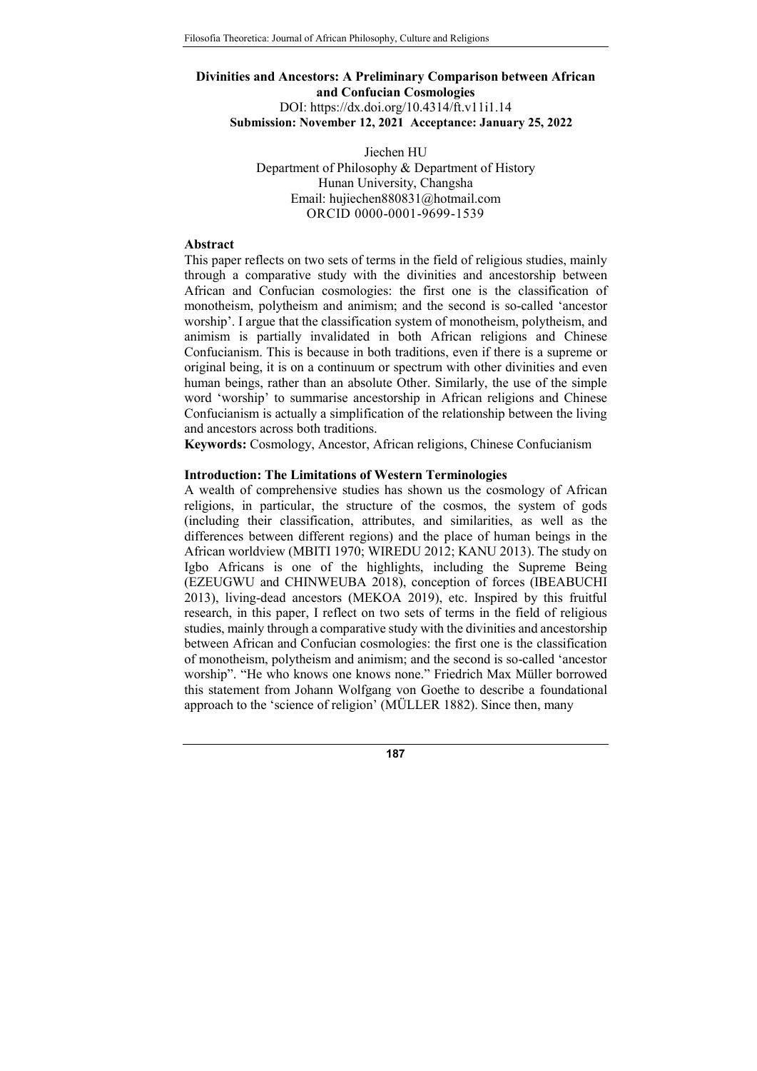# Divinities and Ancestors: A Preliminary Comparison between African and Confucian Cosmologies DOI: https://dx.doi.org/10.4314/ft.v11i1.14 Submission: November 12, 2021 Acceptance: January 25, 2022

Jiechen HU Department of Philosophy & Department of History Hunan University, Changsha Email: hujiechen880831@hotmail.com ORCID 0000-0001-9699-1539

# Abstract

This paper reflects on two sets of terms in the field of religious studies, mainly through a comparative study with the divinities and ancestorship between African and Confucian cosmologies: the first one is the classification of monotheism, polytheism and animism; and the second is so-called 'ancestor worship'. I argue that the classification system of monotheism, polytheism, and animism is partially invalidated in both African religions and Chinese Confucianism. This is because in both traditions, even if there is a supreme or original being, it is on a continuum or spectrum with other divinities and even human beings, rather than an absolute Other. Similarly, the use of the simple word 'worship' to summarise ancestorship in African religions and Chinese Confucianism is actually a simplification of the relationship between the living and ancestors across both traditions.

Keywords: Cosmology, Ancestor, African religions, Chinese Confucianism

### Introduction: The Limitations of Western Terminologies

A wealth of comprehensive studies has shown us the cosmology of African religions, in particular, the structure of the cosmos, the system of gods (including their classification, attributes, and similarities, as well as the differences between different regions) and the place of human beings in the African worldview (MBITI 1970; WIREDU 2012; KANU 2013). The study on Igbo Africans is one of the highlights, including the Supreme Being (EZEUGWU and CHINWEUBA 2018), conception of forces (IBEABUCHI 2013), living-dead ancestors (MEKOA 2019), etc. Inspired by this fruitful research, in this paper, I reflect on two sets of terms in the field of religious studies, mainly through a comparative study with the divinities and ancestorship between African and Confucian cosmologies: the first one is the classification of monotheism, polytheism and animism; and the second is so-called 'ancestor worship". "He who knows one knows none." Friedrich Max Müller borrowed this statement from Johann Wolfgang von Goethe to describe a foundational approach to the 'science of religion' (MÜLLER 1882). Since then, many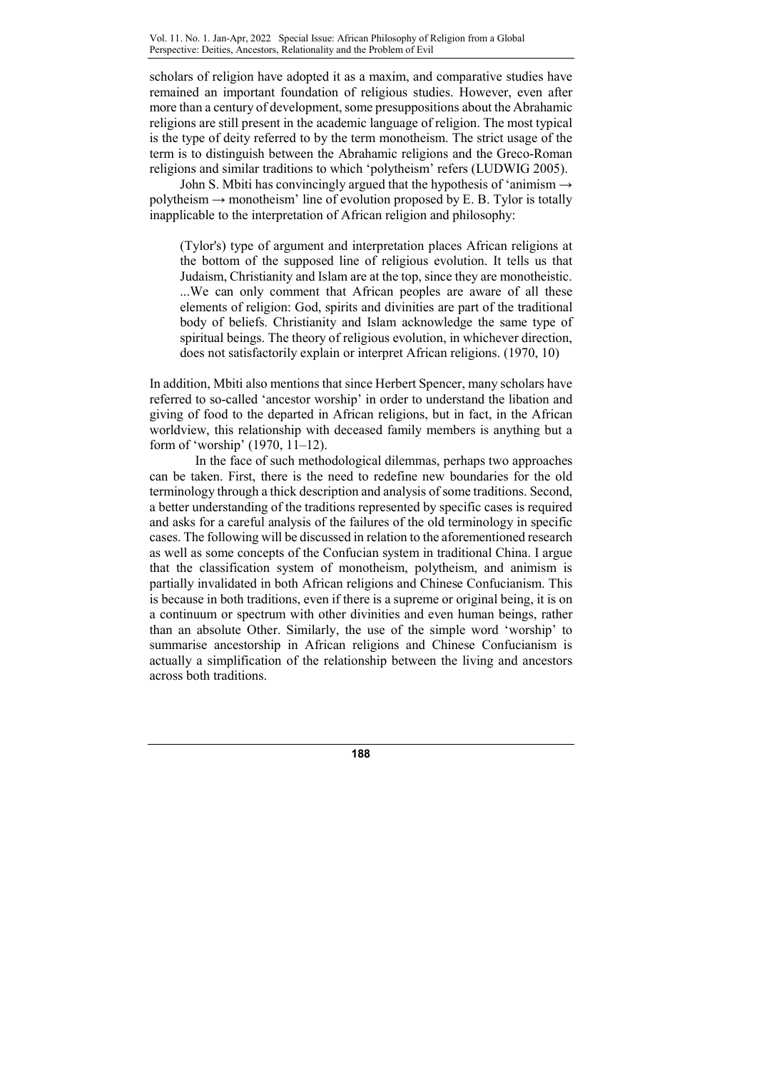scholars of religion have adopted it as a maxim, and comparative studies have remained an important foundation of religious studies. However, even after more than a century of development, some presuppositions about the Abrahamic religions are still present in the academic language of religion. The most typical is the type of deity referred to by the term monotheism. The strict usage of the term is to distinguish between the Abrahamic religions and the Greco-Roman religions and similar traditions to which 'polytheism' refers (LUDWIG 2005).

John S. Mbiti has convincingly argued that the hypothesis of 'animism  $\rightarrow$  $polytheism \rightarrow monotoneism'$  line of evolution proposed by E. B. Tylor is totally inapplicable to the interpretation of African religion and philosophy:

(Tylor's) type of argument and interpretation places African religions at the bottom of the supposed line of religious evolution. It tells us that Judaism, Christianity and Islam are at the top, since they are monotheistic. ...We can only comment that African peoples are aware of all these elements of religion: God, spirits and divinities are part of the traditional body of beliefs. Christianity and Islam acknowledge the same type of spiritual beings. The theory of religious evolution, in whichever direction, does not satisfactorily explain or interpret African religions. (1970, 10)

In addition, Mbiti also mentions that since Herbert Spencer, many scholars have referred to so-called 'ancestor worship' in order to understand the libation and giving of food to the departed in African religions, but in fact, in the African worldview, this relationship with deceased family members is anything but a form of 'worship' (1970, 11–12).

In the face of such methodological dilemmas, perhaps two approaches can be taken. First, there is the need to redefine new boundaries for the old terminology through a thick description and analysis of some traditions. Second, a better understanding of the traditions represented by specific cases is required and asks for a careful analysis of the failures of the old terminology in specific cases. The following will be discussed in relation to the aforementioned research as well as some concepts of the Confucian system in traditional China. I argue that the classification system of monotheism, polytheism, and animism is partially invalidated in both African religions and Chinese Confucianism. This is because in both traditions, even if there is a supreme or original being, it is on a continuum or spectrum with other divinities and even human beings, rather than an absolute Other. Similarly, the use of the simple word 'worship' to summarise ancestorship in African religions and Chinese Confucianism is actually a simplification of the relationship between the living and ancestors across both traditions.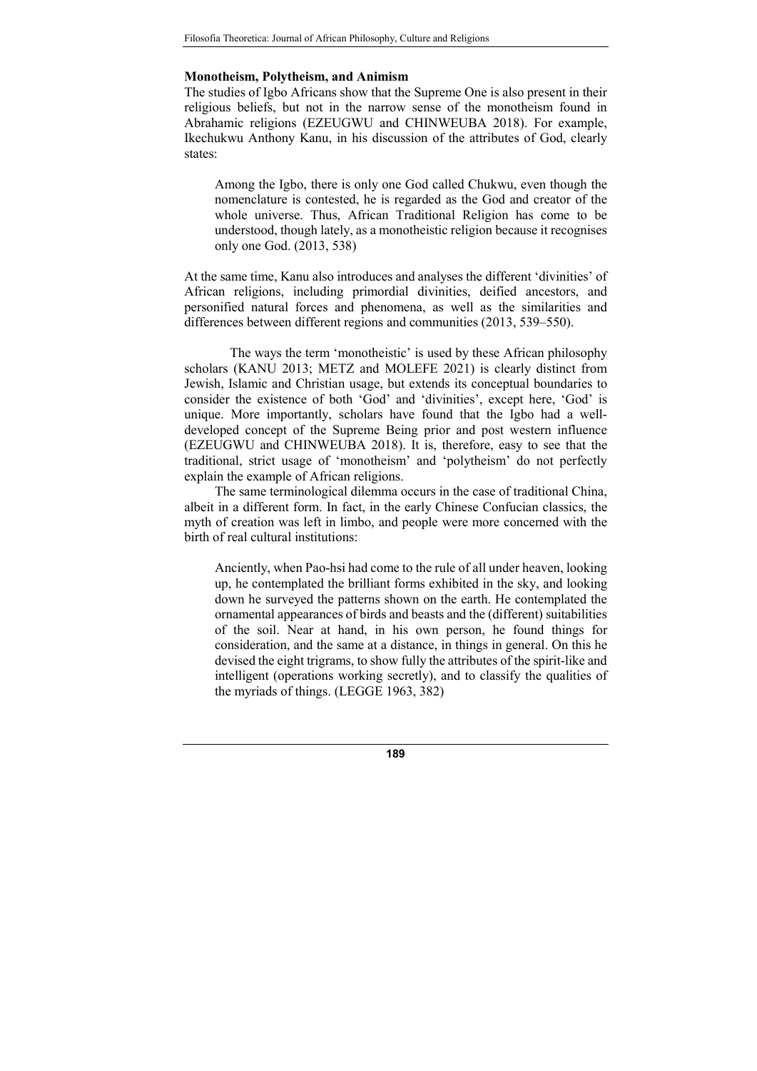## Monotheism, Polytheism, and Animism

The studies of Igbo Africans show that the Supreme One is also present in their religious beliefs, but not in the narrow sense of the monotheism found in Abrahamic religions (EZEUGWU and CHINWEUBA 2018). For example, Ikechukwu Anthony Kanu, in his discussion of the attributes of God, clearly states:

Among the Igbo, there is only one God called Chukwu, even though the nomenclature is contested, he is regarded as the God and creator of the whole universe. Thus, African Traditional Religion has come to be understood, though lately, as a monotheistic religion because it recognises only one God. (2013, 538)

At the same time, Kanu also introduces and analyses the different 'divinities' of African religions, including primordial divinities, deified ancestors, and personified natural forces and phenomena, as well as the similarities and differences between different regions and communities (2013, 539–550).

The ways the term 'monotheistic' is used by these African philosophy scholars (KANU 2013; METZ and MOLEFE 2021) is clearly distinct from Jewish, Islamic and Christian usage, but extends its conceptual boundaries to consider the existence of both 'God' and 'divinities', except here, 'God' is unique. More importantly, scholars have found that the Igbo had a welldeveloped concept of the Supreme Being prior and post western influence (EZEUGWU and CHINWEUBA 2018). It is, therefore, easy to see that the traditional, strict usage of 'monotheism' and 'polytheism' do not perfectly explain the example of African religions.

The same terminological dilemma occurs in the case of traditional China, albeit in a different form. In fact, in the early Chinese Confucian classics, the myth of creation was left in limbo, and people were more concerned with the birth of real cultural institutions:

Anciently, when Pao-hsi had come to the rule of all under heaven, looking up, he contemplated the brilliant forms exhibited in the sky, and looking down he surveyed the patterns shown on the earth. He contemplated the ornamental appearances of birds and beasts and the (different) suitabilities of the soil. Near at hand, in his own person, he found things for consideration, and the same at a distance, in things in general. On this he devised the eight trigrams, to show fully the attributes of the spirit-like and intelligent (operations working secretly), and to classify the qualities of the myriads of things. (LEGGE 1963, 382)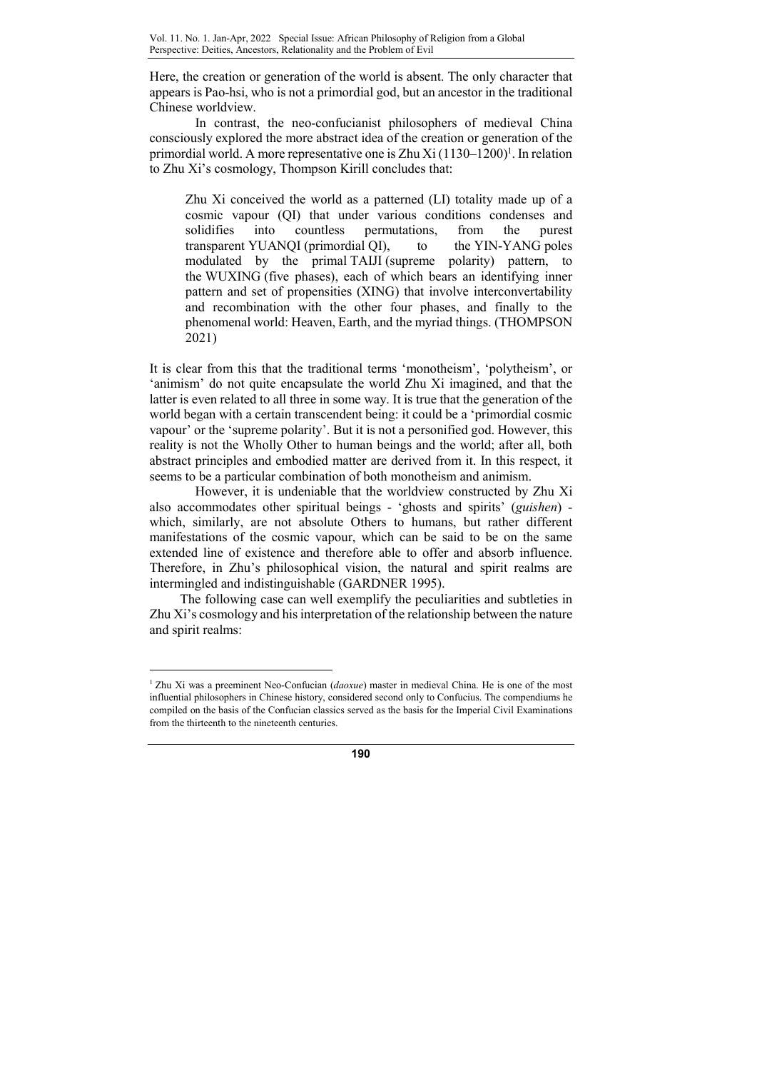Here, the creation or generation of the world is absent. The only character that appears is Pao-hsi, who is not a primordial god, but an ancestor in the traditional Chinese worldview.

In contrast, the neo-confucianist philosophers of medieval China consciously explored the more abstract idea of the creation or generation of the primordial world. A more representative one is Zhu Xi $(1130-1200)^1$ . In relation to Zhu Xi's cosmology, Thompson Kirill concludes that:

Zhu Xi conceived the world as a patterned (LI) totality made up of a cosmic vapour (QI) that under various conditions condenses and solidifies into countless permutations, from the purest transparent YUANQI (primordial QI), to the YIN-YANG poles modulated by the primal TAIJI (supreme polarity) pattern, to the WUXING (five phases), each of which bears an identifying inner pattern and set of propensities (XING) that involve interconvertability and recombination with the other four phases, and finally to the phenomenal world: Heaven, Earth, and the myriad things. (THOMPSON 2021)

It is clear from this that the traditional terms 'monotheism', 'polytheism', or 'animism' do not quite encapsulate the world Zhu Xi imagined, and that the latter is even related to all three in some way. It is true that the generation of the world began with a certain transcendent being: it could be a 'primordial cosmic vapour' or the 'supreme polarity'. But it is not a personified god. However, this reality is not the Wholly Other to human beings and the world; after all, both abstract principles and embodied matter are derived from it. In this respect, it seems to be a particular combination of both monotheism and animism.

However, it is undeniable that the worldview constructed by Zhu Xi also accommodates other spiritual beings - 'ghosts and spirits' (guishen) which, similarly, are not absolute Others to humans, but rather different manifestations of the cosmic vapour, which can be said to be on the same extended line of existence and therefore able to offer and absorb influence. Therefore, in Zhu's philosophical vision, the natural and spirit realms are intermingled and indistinguishable (GARDNER 1995).

The following case can well exemplify the peculiarities and subtleties in Zhu Xi's cosmology and his interpretation of the relationship between the nature and spirit realms:

 $\overline{a}$ 

<sup>&</sup>lt;sup>1</sup> Zhu Xi was a preeminent Neo-Confucian (daoxue) master in medieval China. He is one of the most influential philosophers in Chinese history, considered second only to Confucius. The compendiums he compiled on the basis of the Confucian classics served as the basis for the Imperial Civil Examinations from the thirteenth to the nineteenth centuries.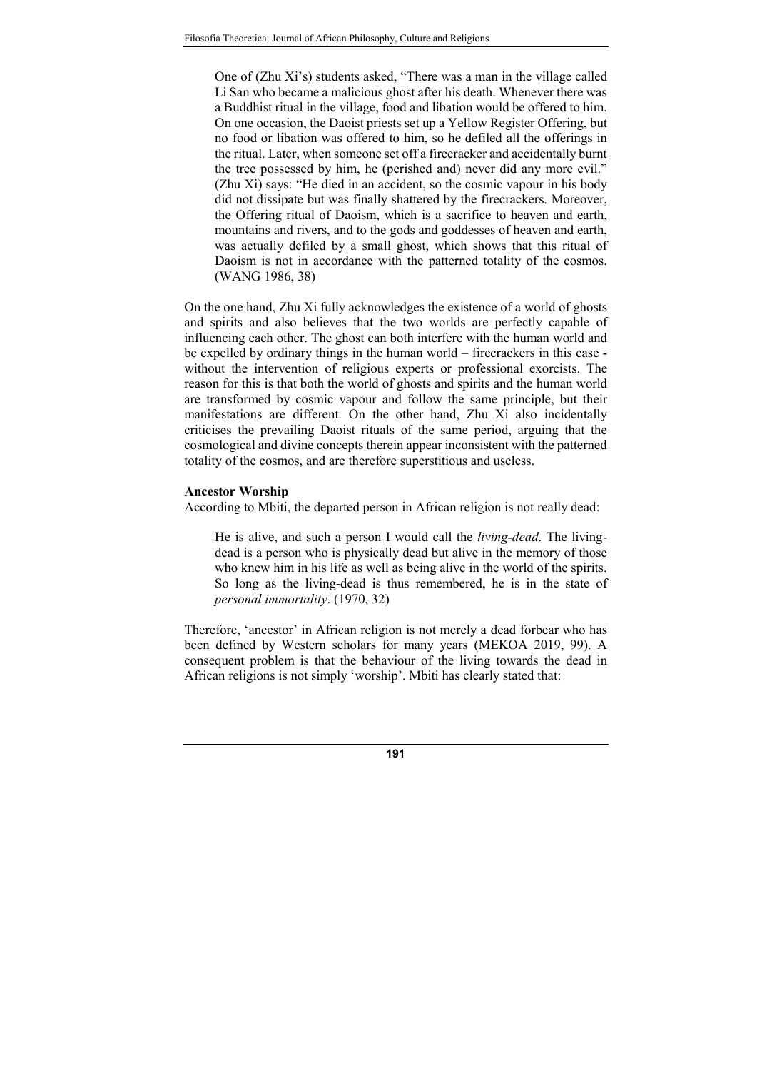One of (Zhu Xi's) students asked, "There was a man in the village called Li San who became a malicious ghost after his death. Whenever there was a Buddhist ritual in the village, food and libation would be offered to him. On one occasion, the Daoist priests set up a Yellow Register Offering, but no food or libation was offered to him, so he defiled all the offerings in the ritual. Later, when someone set off a firecracker and accidentally burnt the tree possessed by him, he (perished and) never did any more evil." (Zhu Xi) says: "He died in an accident, so the cosmic vapour in his body did not dissipate but was finally shattered by the firecrackers. Moreover, the Offering ritual of Daoism, which is a sacrifice to heaven and earth, mountains and rivers, and to the gods and goddesses of heaven and earth, was actually defiled by a small ghost, which shows that this ritual of Daoism is not in accordance with the patterned totality of the cosmos. (WANG 1986, 38)

On the one hand, Zhu Xi fully acknowledges the existence of a world of ghosts and spirits and also believes that the two worlds are perfectly capable of influencing each other. The ghost can both interfere with the human world and be expelled by ordinary things in the human world – firecrackers in this case without the intervention of religious experts or professional exorcists. The reason for this is that both the world of ghosts and spirits and the human world are transformed by cosmic vapour and follow the same principle, but their manifestations are different. On the other hand, Zhu Xi also incidentally criticises the prevailing Daoist rituals of the same period, arguing that the cosmological and divine concepts therein appear inconsistent with the patterned totality of the cosmos, and are therefore superstitious and useless.

### Ancestor Worship

According to Mbiti, the departed person in African religion is not really dead:

He is alive, and such a person I would call the living-dead. The livingdead is a person who is physically dead but alive in the memory of those who knew him in his life as well as being alive in the world of the spirits. So long as the living-dead is thus remembered, he is in the state of personal immortality. (1970, 32)

Therefore, 'ancestor' in African religion is not merely a dead forbear who has been defined by Western scholars for many years (MEKOA 2019, 99). A consequent problem is that the behaviour of the living towards the dead in African religions is not simply 'worship'. Mbiti has clearly stated that: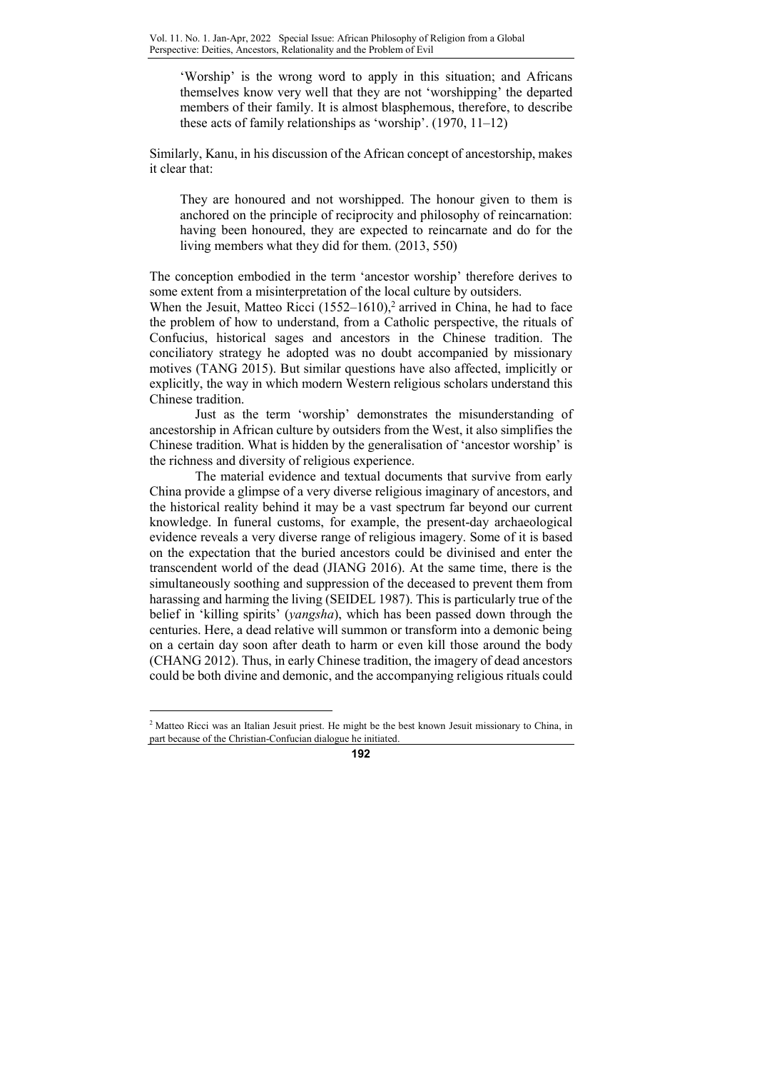'Worship' is the wrong word to apply in this situation; and Africans themselves know very well that they are not 'worshipping' the departed members of their family. It is almost blasphemous, therefore, to describe these acts of family relationships as 'worship'. (1970, 11–12)

Similarly, Kanu, in his discussion of the African concept of ancestorship, makes it clear that:

They are honoured and not worshipped. The honour given to them is anchored on the principle of reciprocity and philosophy of reincarnation: having been honoured, they are expected to reincarnate and do for the living members what they did for them. (2013, 550)

The conception embodied in the term 'ancestor worship' therefore derives to some extent from a misinterpretation of the local culture by outsiders.

When the Jesuit, Matteo Ricci  $(1552-1610)$ ,<sup>2</sup> arrived in China, he had to face the problem of how to understand, from a Catholic perspective, the rituals of Confucius, historical sages and ancestors in the Chinese tradition. The conciliatory strategy he adopted was no doubt accompanied by missionary motives (TANG 2015). But similar questions have also affected, implicitly or explicitly, the way in which modern Western religious scholars understand this Chinese tradition.

Just as the term 'worship' demonstrates the misunderstanding of ancestorship in African culture by outsiders from the West, it also simplifies the Chinese tradition. What is hidden by the generalisation of 'ancestor worship' is the richness and diversity of religious experience.

The material evidence and textual documents that survive from early China provide a glimpse of a very diverse religious imaginary of ancestors, and the historical reality behind it may be a vast spectrum far beyond our current knowledge. In funeral customs, for example, the present-day archaeological evidence reveals a very diverse range of religious imagery. Some of it is based on the expectation that the buried ancestors could be divinised and enter the transcendent world of the dead (JIANG 2016). At the same time, there is the simultaneously soothing and suppression of the deceased to prevent them from harassing and harming the living (SEIDEL 1987). This is particularly true of the belief in 'killing spirits' (yangsha), which has been passed down through the centuries. Here, a dead relative will summon or transform into a demonic being on a certain day soon after death to harm or even kill those around the body (CHANG 2012). Thus, in early Chinese tradition, the imagery of dead ancestors could be both divine and demonic, and the accompanying religious rituals could

 $\overline{a}$ 



<sup>&</sup>lt;sup>2</sup> Matteo Ricci was an Italian Jesuit priest. He might be the best known Jesuit missionary to China, in part because of the Christian-Confucian dialogue he initiated.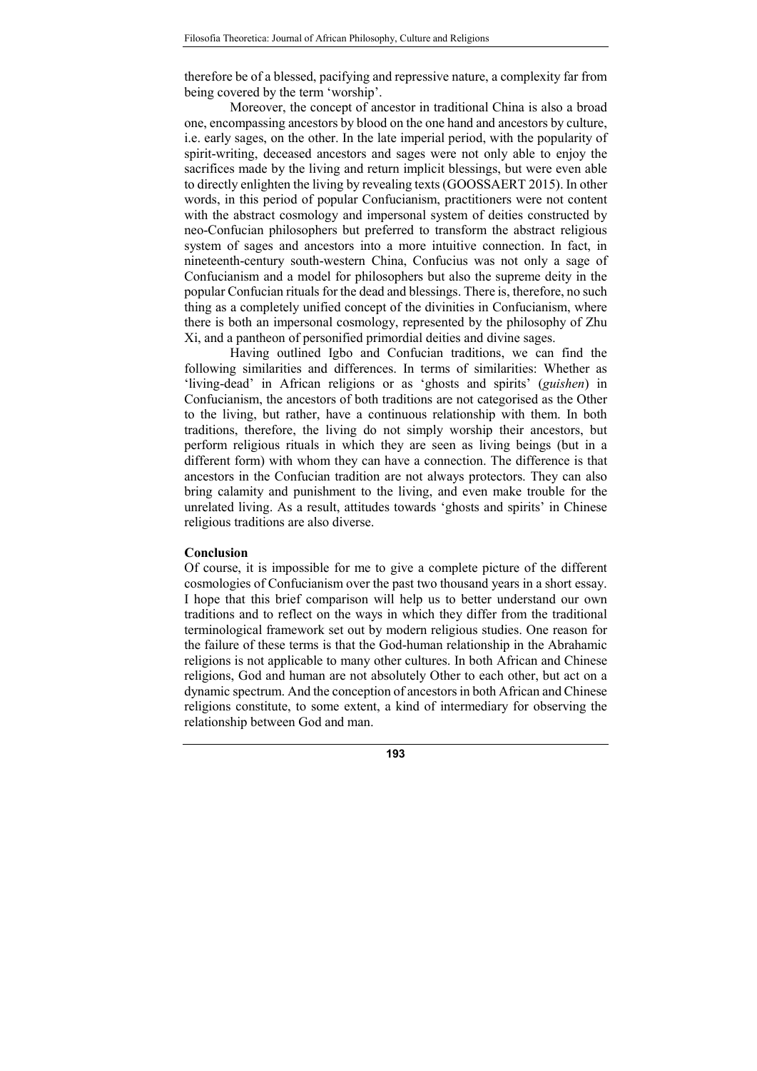therefore be of a blessed, pacifying and repressive nature, a complexity far from being covered by the term 'worship'.

Moreover, the concept of ancestor in traditional China is also a broad one, encompassing ancestors by blood on the one hand and ancestors by culture, i.e. early sages, on the other. In the late imperial period, with the popularity of spirit-writing, deceased ancestors and sages were not only able to enjoy the sacrifices made by the living and return implicit blessings, but were even able to directly enlighten the living by revealing texts (GOOSSAERT 2015). In other words, in this period of popular Confucianism, practitioners were not content with the abstract cosmology and impersonal system of deities constructed by neo-Confucian philosophers but preferred to transform the abstract religious system of sages and ancestors into a more intuitive connection. In fact, in nineteenth-century south-western China, Confucius was not only a sage of Confucianism and a model for philosophers but also the supreme deity in the popular Confucian rituals for the dead and blessings. There is, therefore, no such thing as a completely unified concept of the divinities in Confucianism, where there is both an impersonal cosmology, represented by the philosophy of Zhu Xi, and a pantheon of personified primordial deities and divine sages.

Having outlined Igbo and Confucian traditions, we can find the following similarities and differences. In terms of similarities: Whether as 'living-dead' in African religions or as 'ghosts and spirits' (guishen) in Confucianism, the ancestors of both traditions are not categorised as the Other to the living, but rather, have a continuous relationship with them. In both traditions, therefore, the living do not simply worship their ancestors, but perform religious rituals in which they are seen as living beings (but in a different form) with whom they can have a connection. The difference is that ancestors in the Confucian tradition are not always protectors. They can also bring calamity and punishment to the living, and even make trouble for the unrelated living. As a result, attitudes towards 'ghosts and spirits' in Chinese religious traditions are also diverse.

#### Conclusion

Of course, it is impossible for me to give a complete picture of the different cosmologies of Confucianism over the past two thousand years in a short essay. I hope that this brief comparison will help us to better understand our own traditions and to reflect on the ways in which they differ from the traditional terminological framework set out by modern religious studies. One reason for the failure of these terms is that the God-human relationship in the Abrahamic religions is not applicable to many other cultures. In both African and Chinese religions, God and human are not absolutely Other to each other, but act on a dynamic spectrum. And the conception of ancestors in both African and Chinese religions constitute, to some extent, a kind of intermediary for observing the relationship between God and man.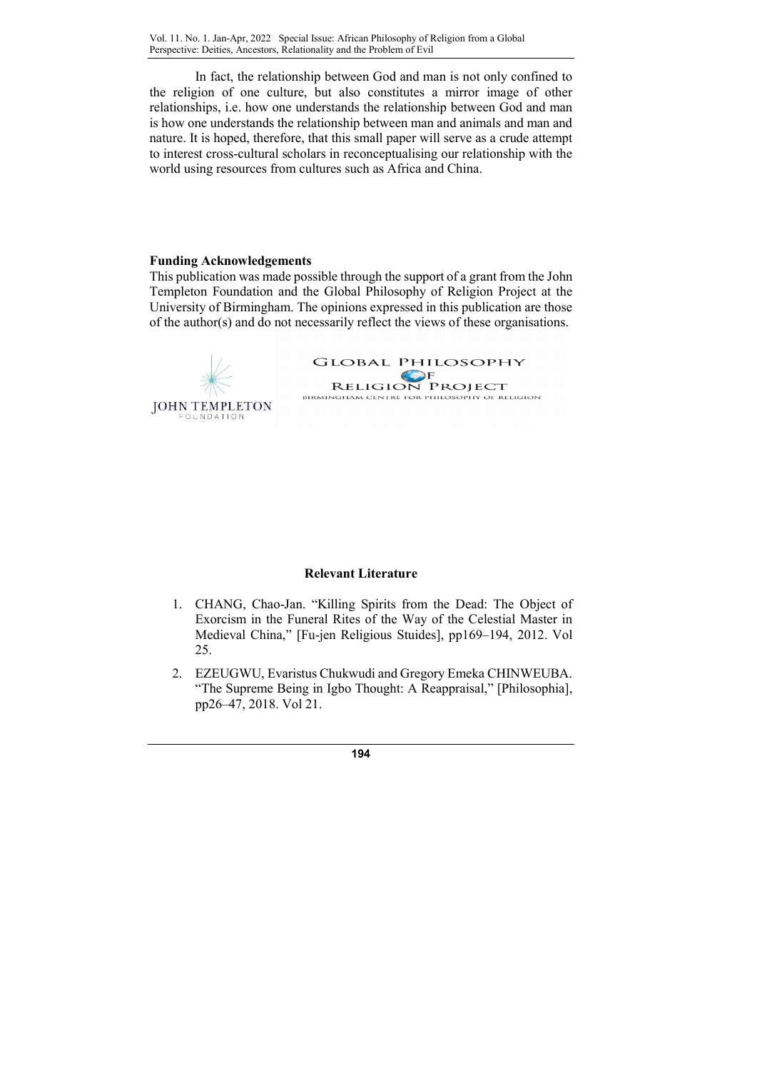Vol. 11. No. 1. Jan-Apr, 2022 Special Issue: African Philosophy of Religion from a Global Perspective: Deities, Ancestors, Relationality and the Problem of Evil

In fact, the relationship between God and man is not only confined to the religion of one culture, but also constitutes a mirror image of other relationships, i.e. how one understands the relationship between God and man is how one understands the relationship between man and animals and man and nature. It is hoped, therefore, that this small paper will serve as a crude attempt to interest cross-cultural scholars in reconceptualising our relationship with the world using resources from cultures such as Africa and China.

#### Funding Acknowledgements

This publication was made possible through the support of a grant from the John Templeton Foundation and the Global Philosophy of Religion Project at the University of Birmingham. The opinions expressed in this publication are those of the author(s) and do not necessarily reflect the views of these organisations.



### Relevant Literature

- 1. CHANG, Chao-Jan. "Killing Spirits from the Dead: The Object of Exorcism in the Funeral Rites of the Way of the Celestial Master in Medieval China," [Fu-jen Religious Stuides], pp169–194, 2012. Vol 25.
- 2. EZEUGWU, Evaristus Chukwudi and Gregory Emeka CHINWEUBA. "The Supreme Being in Igbo Thought: A Reappraisal," [Philosophia], pp26–47, 2018. Vol 21.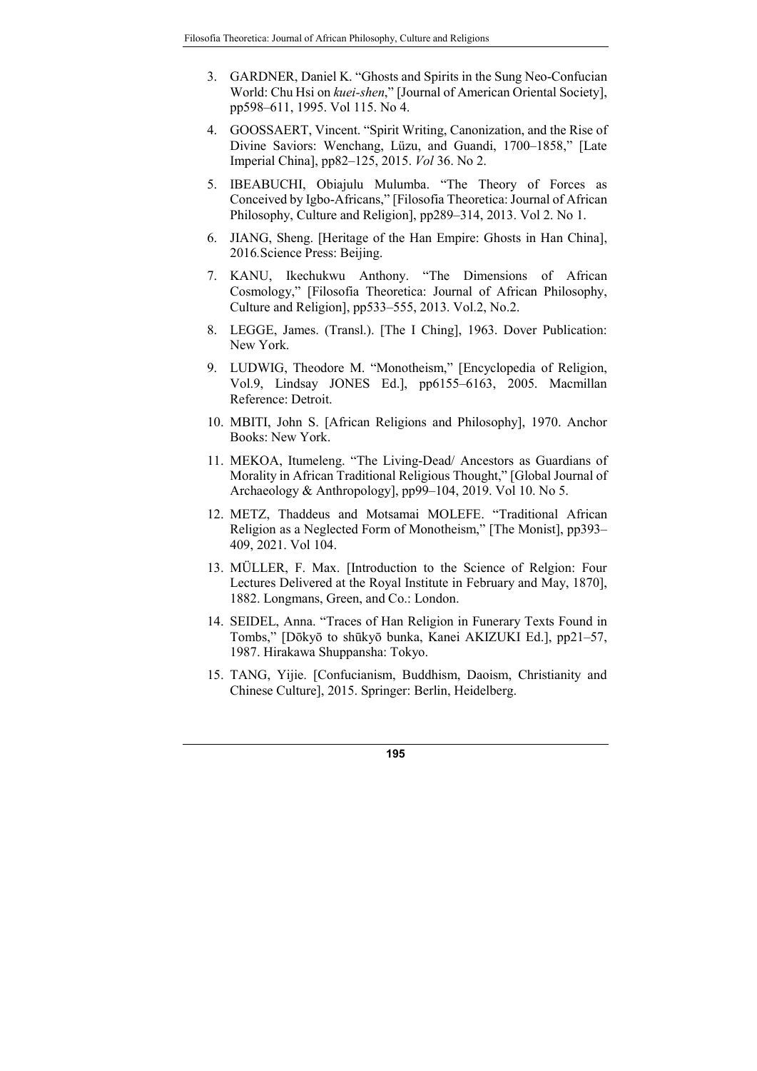- 3. GARDNER, Daniel K. "Ghosts and Spirits in the Sung Neo-Confucian World: Chu Hsi on kuei-shen," [Journal of American Oriental Society], pp598–611, 1995. Vol 115. No 4.
- 4. GOOSSAERT, Vincent. "Spirit Writing, Canonization, and the Rise of Divine Saviors: Wenchang, Lüzu, and Guandi, 1700–1858," [Late Imperial China], pp82–125, 2015. Vol 36. No 2.
- 5. IBEABUCHI, Obiajulu Mulumba. "The Theory of Forces as Conceived by Igbo-Africans," [Filosofia Theoretica: Journal of African Philosophy, Culture and Religion], pp289–314, 2013. Vol 2. No 1.
- 6. JIANG, Sheng. [Heritage of the Han Empire: Ghosts in Han China], 2016.Science Press: Beijing.
- 7. KANU, Ikechukwu Anthony. "The Dimensions of African Cosmology," [Filosofia Theoretica: Journal of African Philosophy, Culture and Religion], pp533–555, 2013. Vol.2, No.2.
- 8. LEGGE, James. (Transl.). [The I Ching], 1963. Dover Publication: New York.
- 9. LUDWIG, Theodore M. "Monotheism," [Encyclopedia of Religion, Vol.9, Lindsay JONES Ed.], pp6155–6163, 2005. Macmillan Reference: Detroit.
- 10. MBITI, John S. [African Religions and Philosophy], 1970. Anchor Books: New York.
- 11. MEKOA, Itumeleng. "The Living-Dead/ Ancestors as Guardians of Morality in African Traditional Religious Thought," [Global Journal of Archaeology & Anthropology], pp99–104, 2019. Vol 10. No 5.
- 12. METZ, Thaddeus and Motsamai MOLEFE. "Traditional African Religion as a Neglected Form of Monotheism," [The Monist], pp393– 409, 2021. Vol 104.
- 13. MÜLLER, F. Max. [Introduction to the Science of Relgion: Four Lectures Delivered at the Royal Institute in February and May, 1870], 1882. Longmans, Green, and Co.: London.
- 14. SEIDEL, Anna. "Traces of Han Religion in Funerary Texts Found in Tombs," [Dōkyō to shūkyō bunka, Kanei AKIZUKI Ed.], pp21–57, 1987. Hirakawa Shuppansha: Tokyo.
- 15. TANG, Yijie. [Confucianism, Buddhism, Daoism, Christianity and Chinese Culture], 2015. Springer: Berlin, Heidelberg.